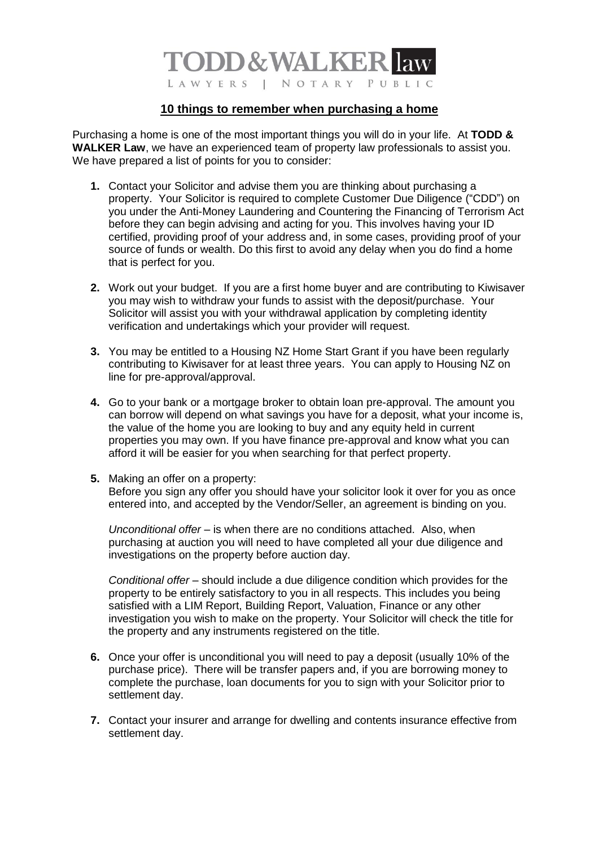## **TODD & WALKER law** LAWYERS | NOTARY PUBLIC

## **10 things to remember when purchasing a home**

Purchasing a home is one of the most important things you will do in your life. At **TODD & WALKER Law**, we have an experienced team of property law professionals to assist you. We have prepared a list of points for you to consider:

- **1.** Contact your Solicitor and advise them you are thinking about purchasing a property. Your Solicitor is required to complete Customer Due Diligence ("CDD") on you under the Anti-Money Laundering and Countering the Financing of Terrorism Act before they can begin advising and acting for you. This involves having your ID certified, providing proof of your address and, in some cases, providing proof of your source of funds or wealth. Do this first to avoid any delay when you do find a home that is perfect for you.
- **2.** Work out your budget. If you are a first home buyer and are contributing to Kiwisaver you may wish to withdraw your funds to assist with the deposit/purchase. Your Solicitor will assist you with your withdrawal application by completing identity verification and undertakings which your provider will request.
- **3.** You may be entitled to a Housing NZ Home Start Grant if you have been regularly contributing to Kiwisaver for at least three years. You can apply to Housing NZ on line for pre-approval/approval.
- **4.** Go to your bank or a mortgage broker to obtain loan pre-approval. The amount you can borrow will depend on what savings you have for a deposit, what your income is, the value of the home you are looking to buy and any equity held in current properties you may own. If you have finance pre-approval and know what you can afford it will be easier for you when searching for that perfect property.
- **5.** Making an offer on a property: Before you sign any offer you should have your solicitor look it over for you as once entered into, and accepted by the Vendor/Seller, an agreement is binding on you.

*Unconditional offer* – is when there are no conditions attached. Also, when purchasing at auction you will need to have completed all your due diligence and investigations on the property before auction day.

*Conditional offer* – should include a due diligence condition which provides for the property to be entirely satisfactory to you in all respects. This includes you being satisfied with a LIM Report, Building Report, Valuation, Finance or any other investigation you wish to make on the property. Your Solicitor will check the title for the property and any instruments registered on the title.

- **6.** Once your offer is unconditional you will need to pay a deposit (usually 10% of the purchase price). There will be transfer papers and, if you are borrowing money to complete the purchase, loan documents for you to sign with your Solicitor prior to settlement day.
- **7.** Contact your insurer and arrange for dwelling and contents insurance effective from settlement day.